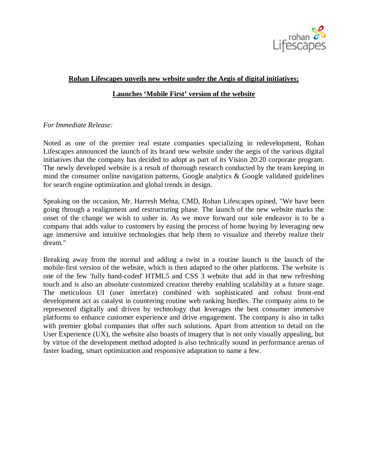

## **Rohan Lifescapes unveils new website under the Aegis of digital initiatives:**

## **Launches 'Mobile First' version of the website**

## *For Immediate Release:*

Noted as one of the premier real estate companies specializing in redevelopment, Rohan Lifescapes announced the launch of its brand new website under the aegis of the various digital initiatives that the company has decided to adopt as part of its Vision 20:20 corporate program. The newly developed website is a result of thorough research conducted by the team keeping in mind the consumer online navigation patterns, Google analytics  $\&$  Google validated guidelines for search engine optimization and global trends in design.

Speaking on the occasion, Mr. Harresh Mehta, CMD, Rohan Lifescapes opined, "We have been going through a realignment and restructuring phase. The launch of the new website marks the onset of the change we wish to usher in. As we move forward our sole endeavor is to be a company that adds value to customers by easing the process of home buying by leveraging new age immersive and intuitive technologies that help them to visualize and thereby realize their dream."

Breaking away from the normal and adding a twist in a routine launch is the launch of the mobile-first version of the website, which is then adapted to the other platforms. The website is one of the few 'fully hand-coded' HTML5 and CSS 3 website that add in that new refreshing touch and is also an absolute customized creation thereby enabling scalability at a future stage. The meticulous UI (user interface) combined with sophisticated and robust front-end development act as catalyst in countering routine web ranking hurdles. The company aims to be represented digitally and driven by technology that leverages the best consumer immersive platforms to enhance customer experience and drive engagement. The company is also in talks with premier global companies that offer such solutions. Apart from attention to detail on the User Experience (UX), the website also boasts of imagery that is not only visually appealing, but by virtue of the development method adopted is also technically sound in performance arenas of faster loading, smart optimization and responsive adaptation to name a few.